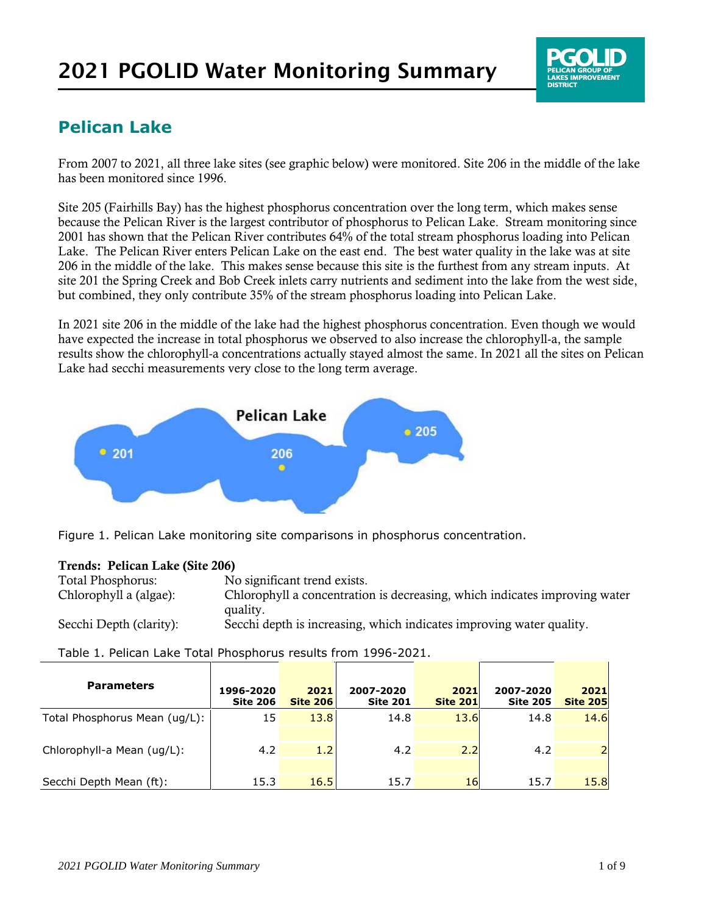# **Pelican Lake**

From 2007 to 2021, all three lake sites (see graphic below) were monitored. Site 206 in the middle of the lake has been monitored since 1996.

Site 205 (Fairhills Bay) has the highest phosphorus concentration over the long term, which makes sense because the Pelican River is the largest contributor of phosphorus to Pelican Lake. Stream monitoring since 2001 has shown that the Pelican River contributes 64% of the total stream phosphorus loading into Pelican Lake. The Pelican River enters Pelican Lake on the east end. The best water quality in the lake was at site 206 in the middle of the lake. This makes sense because this site is the furthest from any stream inputs. At site 201 the Spring Creek and Bob Creek inlets carry nutrients and sediment into the lake from the west side, but combined, they only contribute 35% of the stream phosphorus loading into Pelican Lake.

In 2021 site 206 in the middle of the lake had the highest phosphorus concentration. Even though we would have expected the increase in total phosphorus we observed to also increase the chlorophyll-a, the sample results show the chlorophyll-a concentrations actually stayed almost the same. In 2021 all the sites on Pelican Lake had secchi measurements very close to the long term average.



Figure 1. Pelican Lake monitoring site comparisons in phosphorus concentration.

### Trends: Pelican Lake (Site 206)

| <b>Total Phosphorus:</b> | No significant trend exists.                                               |
|--------------------------|----------------------------------------------------------------------------|
| Chlorophyll a (algae):   | Chlorophyll a concentration is decreasing, which indicates improving water |
|                          | quality.                                                                   |
| Secchi Depth (clarity):  | Secchi depth is increasing, which indicates improving water quality.       |

### Table 1. Pelican Lake Total Phosphorus results from 1996-2021.

| <b>Parameters</b>             | 1996-2020<br><b>Site 206</b> | 2021<br><b>Site 206</b> | 2007-2020<br><b>Site 201</b> | 2021<br><b>Site 201</b> | 2007-2020<br><b>Site 205</b> | 2021<br><b>Site 205</b> |
|-------------------------------|------------------------------|-------------------------|------------------------------|-------------------------|------------------------------|-------------------------|
| Total Phosphorus Mean (ug/L): | 15                           | 13.8                    | 14.8                         | 13.6                    | 14.8                         | 14.6                    |
|                               |                              |                         |                              |                         |                              |                         |
| Chlorophyll-a Mean (ug/L):    | 4.2                          | 1.2                     | 4.2                          | 2.2                     | 4.2                          |                         |
|                               |                              |                         |                              |                         |                              |                         |
| Secchi Depth Mean (ft):       | 15.3                         | 16.5                    | 15.7                         | 16                      | 15.7                         | 15.8                    |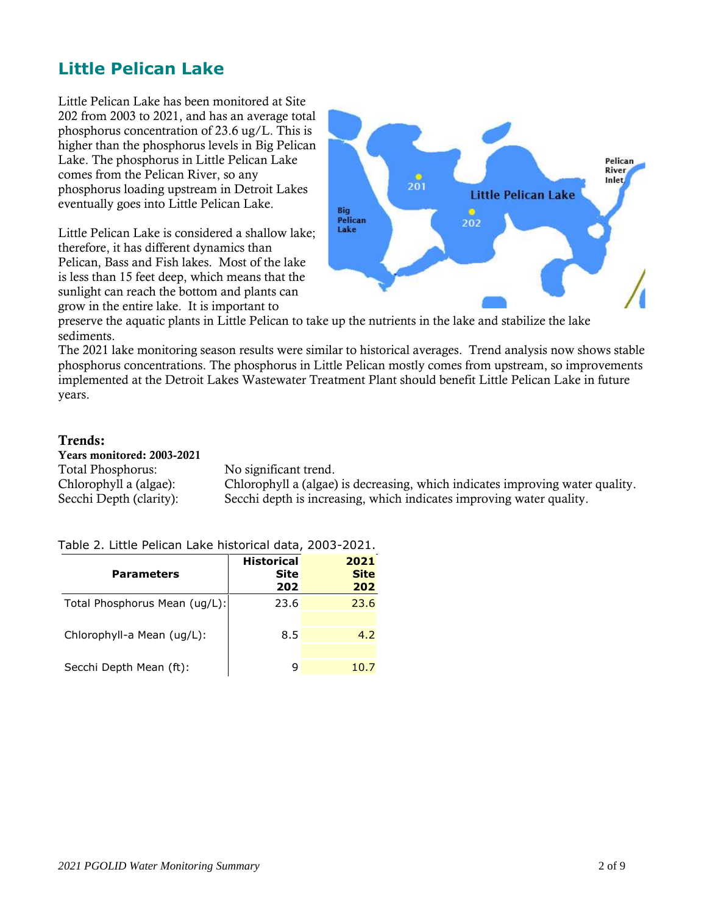## **Little Pelican Lake**

Little Pelican Lake has been monitored at Site 202 from 2003 to 2021, and has an average total phosphorus concentration of 23.6 ug/L. This is higher than the phosphorus levels in Big Pelican Lake. The phosphorus in Little Pelican Lake comes from the Pelican River, so any phosphorus loading upstream in Detroit Lakes eventually goes into Little Pelican Lake.

Little Pelican Lake is considered a shallow lake; therefore, it has different dynamics than Pelican, Bass and Fish lakes. Most of the lake is less than 15 feet deep, which means that the sunlight can reach the bottom and plants can grow in the entire lake. It is important to



preserve the aquatic plants in Little Pelican to take up the nutrients in the lake and stabilize the lake sediments.

The 2021 lake monitoring season results were similar to historical averages. Trend analysis now shows stable phosphorus concentrations. The phosphorus in Little Pelican mostly comes from upstream, so improvements implemented at the Detroit Lakes Wastewater Treatment Plant should benefit Little Pelican Lake in future years.

### Trends:

Years monitored: 2003-2021 Total Phosphorus: No significant trend.

Chlorophyll a (algae): Chlorophyll a (algae) is decreasing, which indicates improving water quality. Secchi Depth (clarity): Secchi depth is increasing, which indicates improving water quality.

#### Table 2. Little Pelican Lake historical data, 2003-2021.

| <b>Parameters</b>             | <b>Historical</b><br>Site<br>202 | 2021<br><b>Site</b><br>202 |
|-------------------------------|----------------------------------|----------------------------|
| Total Phosphorus Mean (ug/L): | 23.6                             | 23.6                       |
| Chlorophyll-a Mean (ug/L):    | 8.5                              | 4.2                        |
| Secchi Depth Mean (ft):       |                                  | 10.7                       |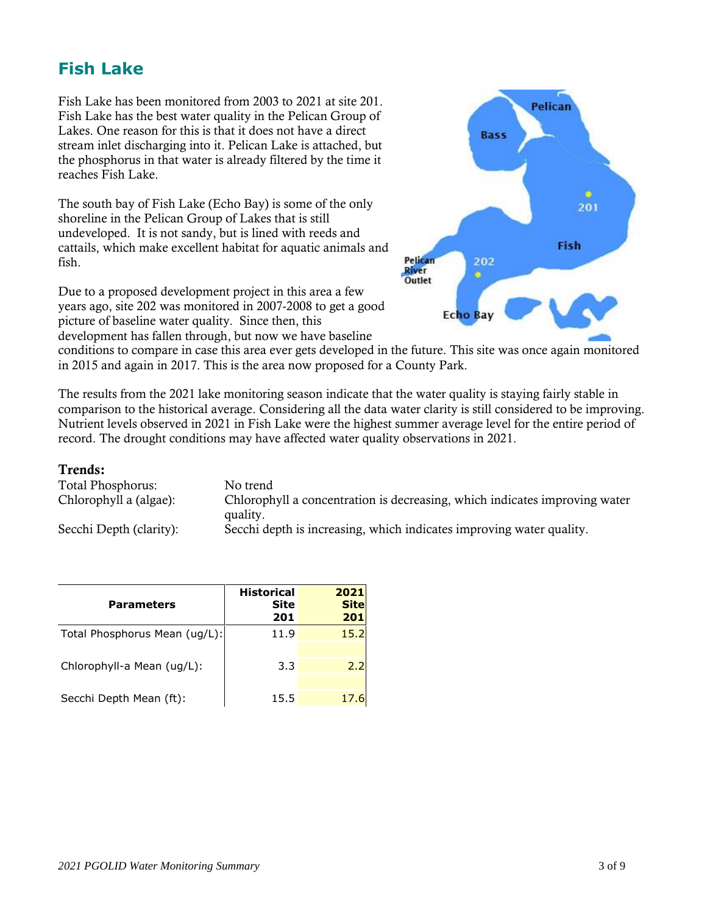# **Fish Lake**

Fish Lake has been monitored from 2003 to 2021 at site 201. Fish Lake has the best water quality in the Pelican Group of Lakes. One reason for this is that it does not have a direct stream inlet discharging into it. Pelican Lake is attached, but the phosphorus in that water is already filtered by the time it reaches Fish Lake.

The south bay of Fish Lake (Echo Bay) is some of the only shoreline in the Pelican Group of Lakes that is still undeveloped. It is not sandy, but is lined with reeds and cattails, which make excellent habitat for aquatic animals and fish.

Due to a proposed development project in this area a few years ago, site 202 was monitored in 2007-2008 to get a good picture of baseline water quality. Since then, this development has fallen through, but now we have baseline



conditions to compare in case this area ever gets developed in the future. This site was once again monitored in 2015 and again in 2017. This is the area now proposed for a County Park.

The results from the 2021 lake monitoring season indicate that the water quality is staying fairly stable in comparison to the historical average. Considering all the data water clarity is still considered to be improving. Nutrient levels observed in 2021 in Fish Lake were the highest summer average level for the entire period of record. The drought conditions may have affected water quality observations in 2021.

#### Trends:

| <b>Total Phosphorus:</b> | No trend                                                                               |
|--------------------------|----------------------------------------------------------------------------------------|
| Chlorophyll a (algae):   | Chlorophyll a concentration is decreasing, which indicates improving water<br>quality. |
| Secchi Depth (clarity):  | Secchi depth is increasing, which indicates improving water quality.                   |

| <b>Parameters</b>             | <b>Historical</b><br>Site<br>201 | 2021<br><b>Site</b><br>201 |
|-------------------------------|----------------------------------|----------------------------|
| Total Phosphorus Mean (ug/L): | 11.9                             | 15.2                       |
| Chlorophyll-a Mean (ug/L):    | 3.3                              | 2.2                        |
| Secchi Depth Mean (ft):       | 15.5                             | 17.6                       |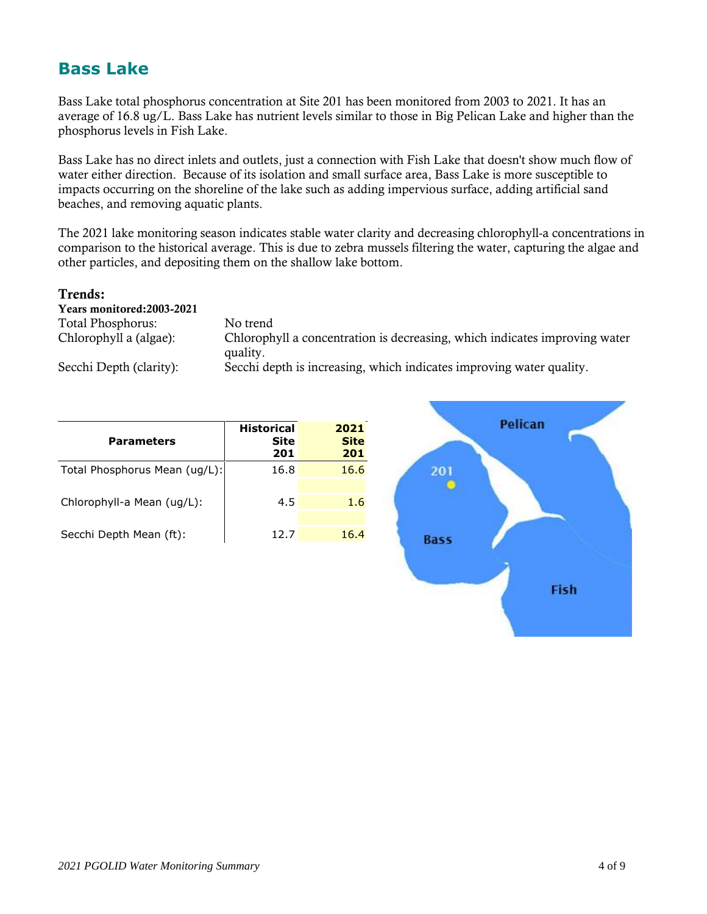# **Bass Lake**

Bass Lake total phosphorus concentration at Site 201 has been monitored from 2003 to 2021. It has an average of 16.8 ug/L. Bass Lake has nutrient levels similar to those in Big Pelican Lake and higher than the phosphorus levels in Fish Lake.

Bass Lake has no direct inlets and outlets, just a connection with Fish Lake that doesn't show much flow of water either direction. Because of its isolation and small surface area, Bass Lake is more susceptible to impacts occurring on the shoreline of the lake such as adding impervious surface, adding artificial sand beaches, and removing aquatic plants.

The 2021 lake monitoring season indicates stable water clarity and decreasing chlorophyll-a concentrations in comparison to the historical average. This is due to zebra mussels filtering the water, capturing the algae and other particles, and depositing them on the shallow lake bottom.

#### Trends:

Years monitored:2003-2021 Total Phosphorus: No trend

Chlorophyll a (algae): Chlorophyll a concentration is decreasing, which indicates improving water quality. Secchi Depth (clarity): Secchi depth is increasing, which indicates improving water quality.

| <b>Parameters</b>             | <b>Historical</b><br>Site<br>201 | 2021<br><b>Site</b><br>201 |
|-------------------------------|----------------------------------|----------------------------|
| Total Phosphorus Mean (ug/L): | 16.8                             | 16.6                       |
| Chlorophyll-a Mean (ug/L):    | 4.5                              | 1.6                        |
| Secchi Depth Mean (ft):       | 12.7                             | 16.4                       |

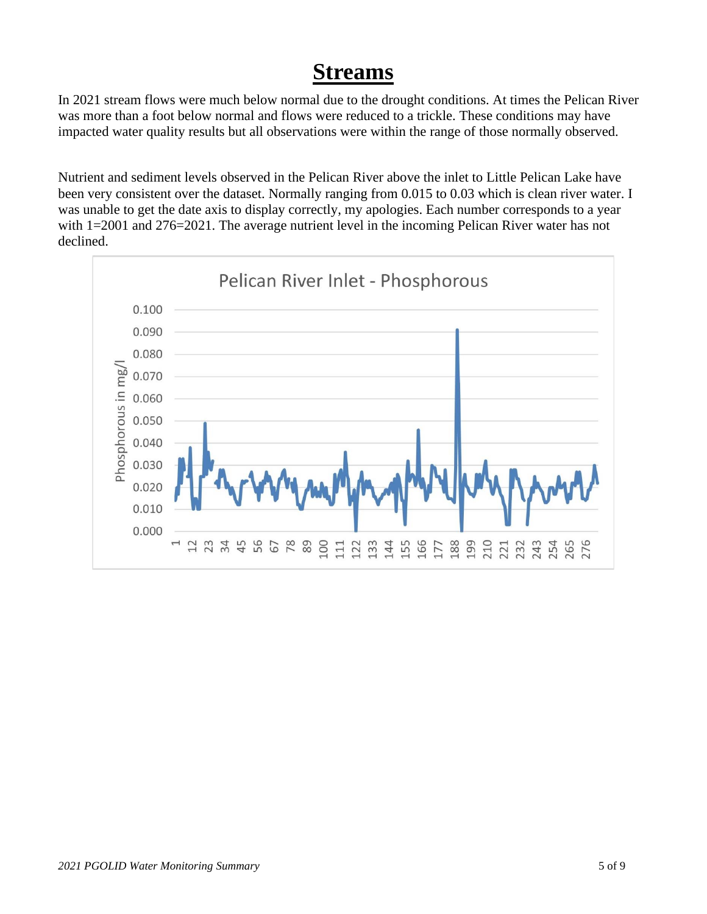# **Streams**

In 2021 stream flows were much below normal due to the drought conditions. At times the Pelican River was more than a foot below normal and flows were reduced to a trickle. These conditions may have impacted water quality results but all observations were within the range of those normally observed.

Nutrient and sediment levels observed in the Pelican River above the inlet to Little Pelican Lake have been very consistent over the dataset. Normally ranging from 0.015 to 0.03 which is clean river water. I was unable to get the date axis to display correctly, my apologies. Each number corresponds to a year with 1=2001 and 276=2021. The average nutrient level in the incoming Pelican River water has not declined.

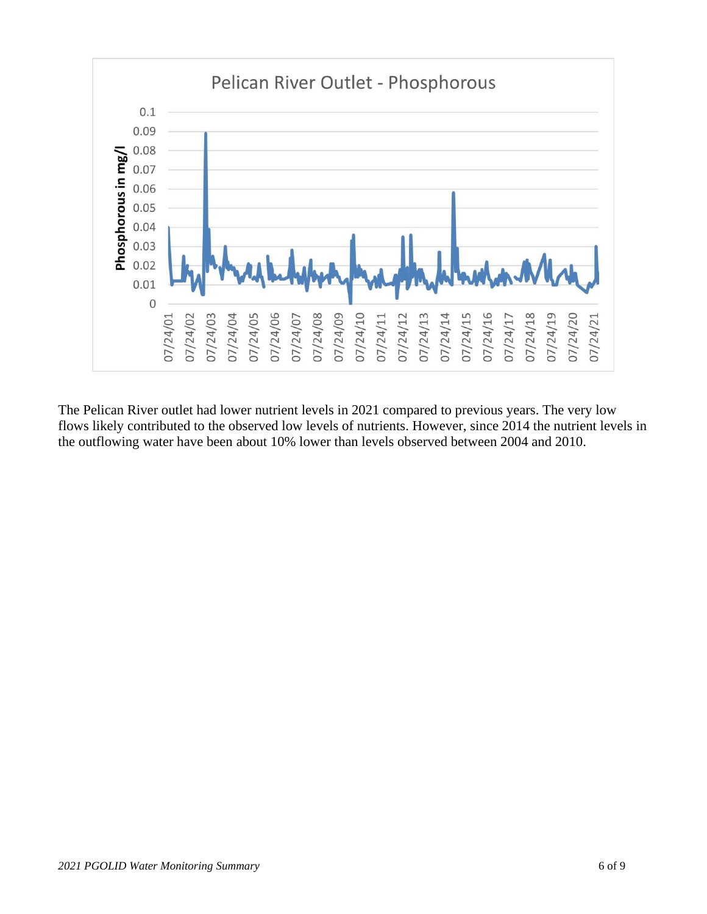

The Pelican River outlet had lower nutrient levels in 2021 compared to previous years. The very low flows likely contributed to the observed low levels of nutrients. However, since 2014 the nutrient levels in the outflowing water have been about 10% lower than levels observed between 2004 and 2010.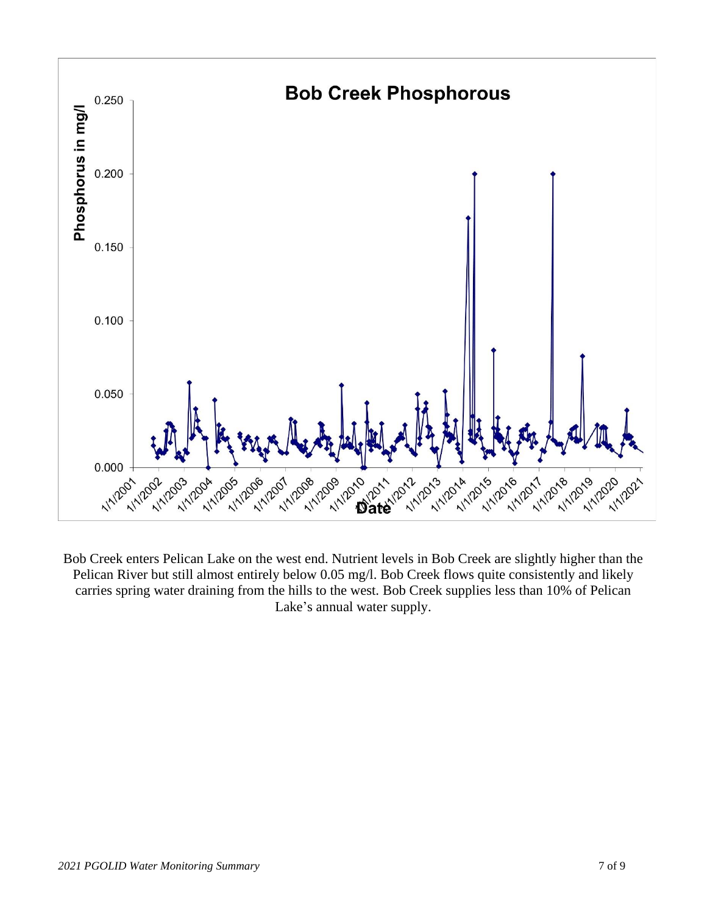

Bob Creek enters Pelican Lake on the west end. Nutrient levels in Bob Creek are slightly higher than the Pelican River but still almost entirely below 0.05 mg/l. Bob Creek flows quite consistently and likely carries spring water draining from the hills to the west. Bob Creek supplies less than 10% of Pelican Lake's annual water supply.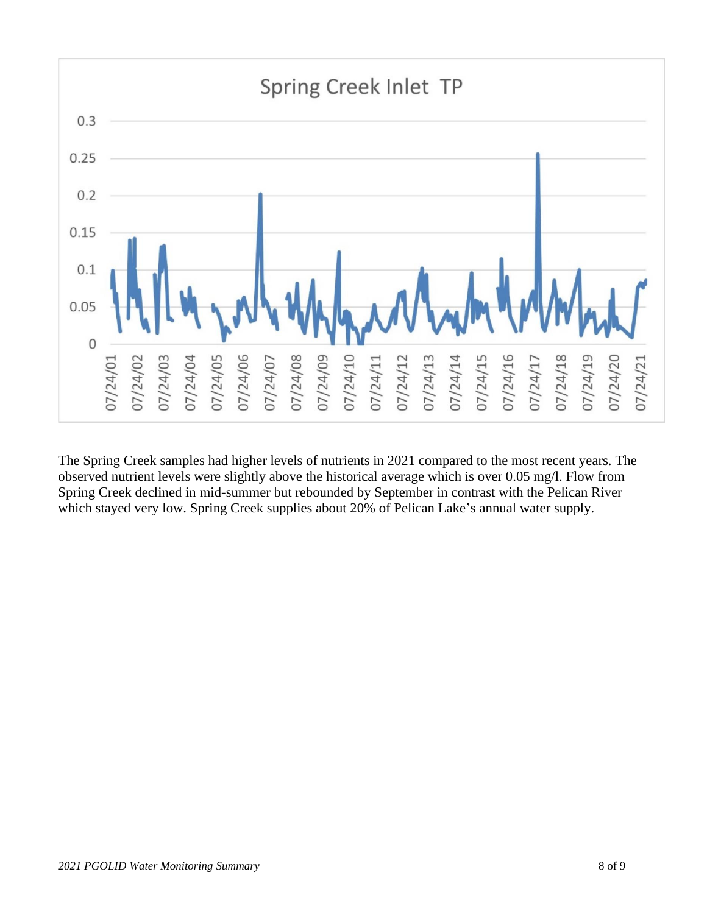

The Spring Creek samples had higher levels of nutrients in 2021 compared to the most recent years. The observed nutrient levels were slightly above the historical average which is over 0.05 mg/l. Flow from Spring Creek declined in mid-summer but rebounded by September in contrast with the Pelican River which stayed very low. Spring Creek supplies about 20% of Pelican Lake's annual water supply.